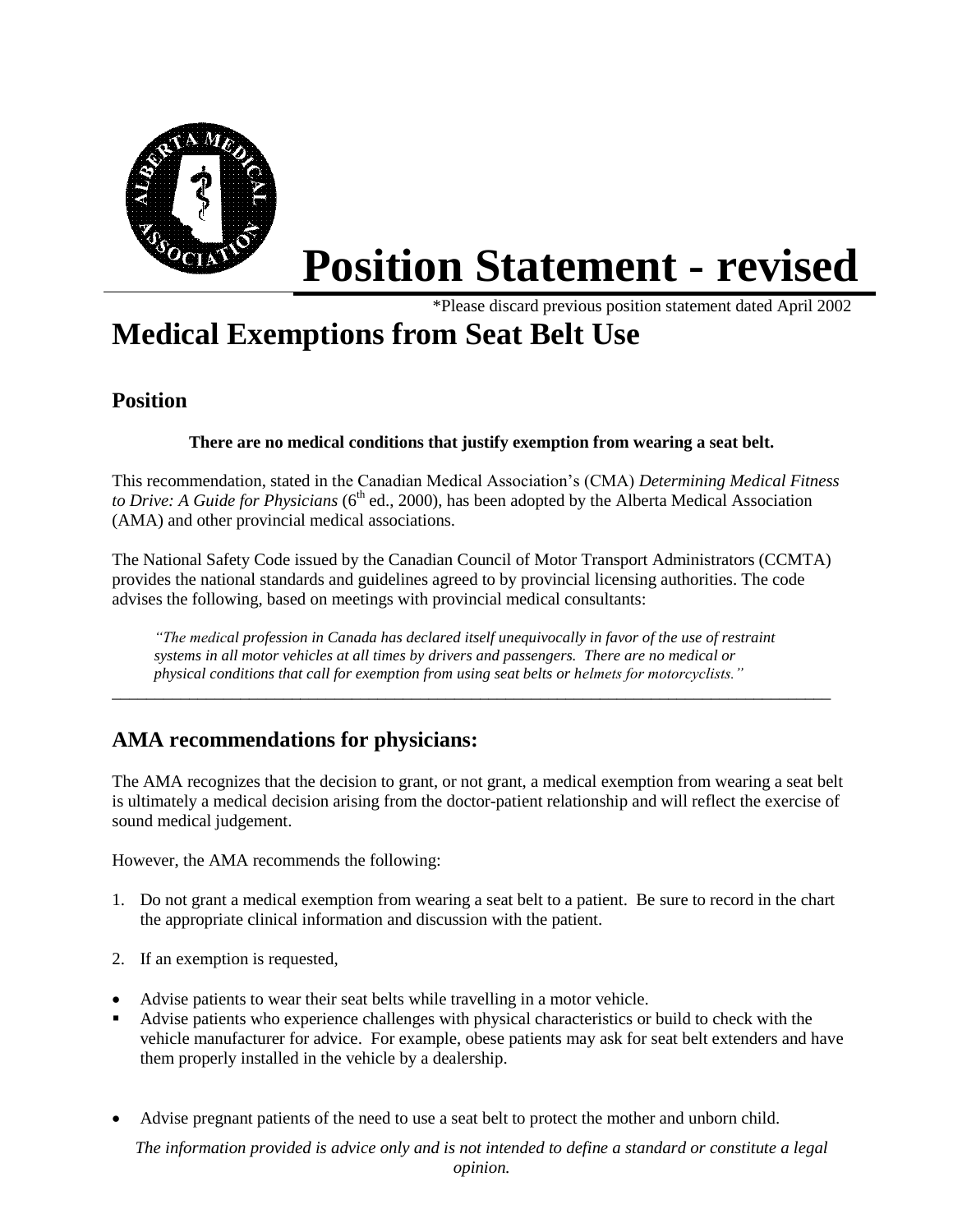

# **Position Statement - revised**

\*Please discard previous position statement dated April 2002

# **Medical Exemptions from Seat Belt Use**

# **Position**

### **There are no medical conditions that justify exemption from wearing a seat belt.**

This recommendation, stated in the Canadian Medical Association's (CMA) *Determining Medical Fitness to Drive: A Guide for Physicians* (6<sup>th</sup> ed., 2000), has been adopted by the Alberta Medical Association (AMA) and other provincial medical associations.

The National Safety Code issued by the Canadian Council of Motor Transport Administrators (CCMTA) provides the national standards and guidelines agreed to by provincial licensing authorities. The code advises the following, based on meetings with provincial medical consultants:

*"The medical profession in Canada has declared itself unequivocally in favor of the use of restraint systems in all motor vehicles at all times by drivers and passengers. There are no medical or physical conditions that call for exemption from using seat belts or helmets for motorcyclists."*

\_\_\_\_\_\_\_\_\_\_\_\_\_\_\_\_\_\_\_\_\_\_\_\_\_\_\_\_\_\_\_\_\_\_\_\_\_\_\_\_\_\_\_\_\_\_\_\_\_\_\_\_\_\_\_\_\_\_\_\_\_\_\_\_\_\_\_\_\_\_\_\_\_\_\_\_\_\_\_\_\_\_\_\_

# **AMA recommendations for physicians:**

The AMA recognizes that the decision to grant, or not grant, a medical exemption from wearing a seat belt is ultimately a medical decision arising from the doctor-patient relationship and will reflect the exercise of sound medical judgement.

However, the AMA recommends the following:

- 1. Do not grant a medical exemption from wearing a seat belt to a patient. Be sure to record in the chart the appropriate clinical information and discussion with the patient.
- 2. If an exemption is requested,
- Advise patients to wear their seat belts while travelling in a motor vehicle.
- Advise patients who experience challenges with physical characteristics or build to check with the vehicle manufacturer for advice. For example, obese patients may ask for seat belt extenders and have them properly installed in the vehicle by a dealership.
- Advise pregnant patients of the need to use a seat belt to protect the mother and unborn child.

*The information provided is advice only and is not intended to define a standard or constitute a legal opinion.*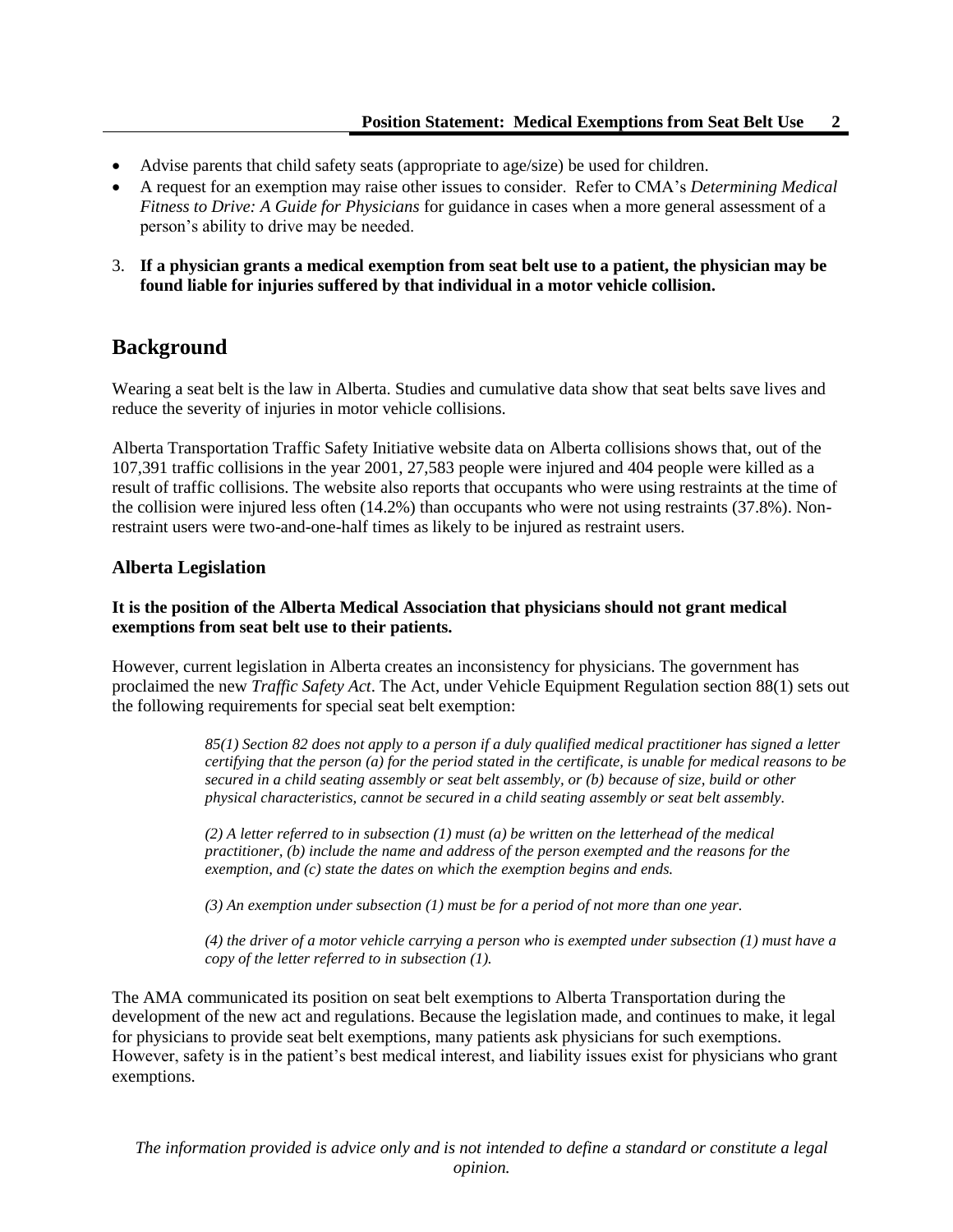- Advise parents that child safety seats (appropriate to age/size) be used for children.
- A request for an exemption may raise other issues to consider. Refer to CMA's *Determining Medical Fitness to Drive: A Guide for Physicians* for guidance in cases when a more general assessment of a person's ability to drive may be needed.
- 3. **If a physician grants a medical exemption from seat belt use to a patient, the physician may be found liable for injuries suffered by that individual in a motor vehicle collision.**

## **Background**

Wearing a seat belt is the law in Alberta. Studies and cumulative data show that seat belts save lives and reduce the severity of injuries in motor vehicle collisions.

Alberta Transportation Traffic Safety Initiative website data on Alberta collisions shows that, out of the 107,391 traffic collisions in the year 2001, 27,583 people were injured and 404 people were killed as a result of traffic collisions. The website also reports that occupants who were using restraints at the time of the collision were injured less often (14.2%) than occupants who were not using restraints (37.8%). Nonrestraint users were two-and-one-half times as likely to be injured as restraint users.

#### **Alberta Legislation**

#### **It is the position of the Alberta Medical Association that physicians should not grant medical exemptions from seat belt use to their patients.**

However, current legislation in Alberta creates an inconsistency for physicians. The government has proclaimed the new *Traffic Safety Act*. The Act, under Vehicle Equipment Regulation section 88(1) sets out the following requirements for special seat belt exemption:

> *85(1) Section 82 does not apply to a person if a duly qualified medical practitioner has signed a letter certifying that the person (a) for the period stated in the certificate, is unable for medical reasons to be secured in a child seating assembly or seat belt assembly, or (b) because of size, build or other physical characteristics, cannot be secured in a child seating assembly or seat belt assembly.*

*(2) A letter referred to in subsection (1) must (a) be written on the letterhead of the medical practitioner, (b) include the name and address of the person exempted and the reasons for the exemption, and (c) state the dates on which the exemption begins and ends.*

*(3) An exemption under subsection (1) must be for a period of not more than one year.*

*(4) the driver of a motor vehicle carrying a person who is exempted under subsection (1) must have a copy of the letter referred to in subsection (1).*

The AMA communicated its position on seat belt exemptions to Alberta Transportation during the development of the new act and regulations. Because the legislation made, and continues to make, it legal for physicians to provide seat belt exemptions, many patients ask physicians for such exemptions. However, safety is in the patient's best medical interest, and liability issues exist for physicians who grant exemptions.

*The information provided is advice only and is not intended to define a standard or constitute a legal opinion.*